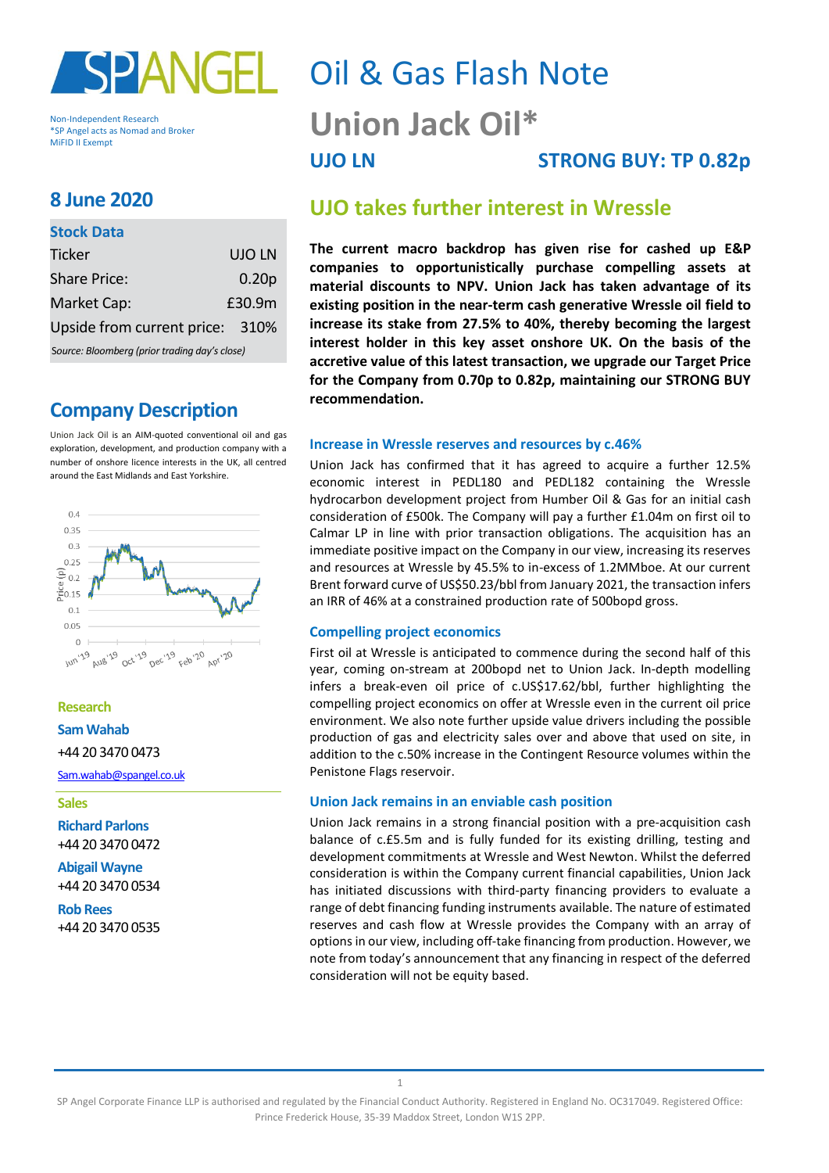

Non-Independent Research \*SP Angel acts as Nomad and Broker MiFID II Exempt

# **8 June 2020**

#### **Stock Data**

| <b>Ticker</b>                                 | UJO LN            |  |  |  |  |
|-----------------------------------------------|-------------------|--|--|--|--|
| <b>Share Price:</b>                           | 0.20 <sub>p</sub> |  |  |  |  |
| Market Cap:                                   | £30.9m            |  |  |  |  |
| Upside from current price: 310%               |                   |  |  |  |  |
| Source: Bloomberg (prior trading day's close) |                   |  |  |  |  |

S*ource: Bloomberg (prior trading day's close)*

# **Company Description**

Union Jack Oil is an AIM-quoted conventional oil and gas exploration, development, and production company with a number of onshore licence interests in the UK, all centred around the East Midlands and East Yorkshire.



#### **Research**

**Sam Wahab**

#### +44 20 3470 0473

[Sam.wahab@spangel.co.uk](mailto:Sam.wahab@spangel.co.uk)

#### **Sales**

**Richard Parlons** +44 20 3470 0472

**Abigail Wayne** +44 20 3470 0534

**Rob Rees** +44 20 3470 0535

# Oil & Gas Flash Note **Union Jack Oil\* UJO LN STRONG BUY: TP 0.82p**

# **UJO takes further interest in Wressle**

**The current macro backdrop has given rise for cashed up E&P companies to opportunistically purchase compelling assets at material discounts to NPV. Union Jack has taken advantage of its existing position in the near-term cash generative Wressle oil field to increase its stake from 27.5% to 40%, thereby becoming the largest interest holder in this key asset onshore UK. On the basis of the accretive value of this latest transaction, we upgrade our Target Price for the Company from 0.70p to 0.82p, maintaining our STRONG BUY recommendation.**

#### **Increase in Wressle reserves and resources by c.46%**

Union Jack has confirmed that it has agreed to acquire a further 12.5% economic interest in PEDL180 and PEDL182 containing the Wressle hydrocarbon development project from Humber Oil & Gas for an initial cash consideration of £500k. The Company will pay a further £1.04m on first oil to Calmar LP in line with prior transaction obligations. The acquisition has an immediate positive impact on the Company in our view, increasing its reserves and resources at Wressle by 45.5% to in-excess of 1.2MMboe. At our current Brent forward curve of US\$50.23/bbl from January 2021, the transaction infers an IRR of 46% at a constrained production rate of 500bopd gross.

#### **Compelling project economics**

First oil at Wressle is anticipated to commence during the second half of this year, coming on-stream at 200bopd net to Union Jack. In-depth modelling infers a break-even oil price of c.US\$17.62/bbl, further highlighting the compelling project economics on offer at Wressle even in the current oil price environment. We also note further upside value drivers including the possible production of gas and electricity sales over and above that used on site, in addition to the c.50% increase in the Contingent Resource volumes within the Penistone Flags reservoir.

#### **Union Jack remains in an enviable cash position**

Union Jack remains in a strong financial position with a pre-acquisition cash balance of c.£5.5m and is fully funded for its existing drilling, testing and development commitments at Wressle and West Newton. Whilst the deferred consideration is within the Company current financial capabilities, Union Jack has initiated discussions with third-party financing providers to evaluate a range of debt financing funding instruments available. The nature of estimated reserves and cash flow at Wressle provides the Company with an array of options in our view, including off-take financing from production. However, we note from today's announcement that any financing in respect of the deferred consideration will not be equity based.

1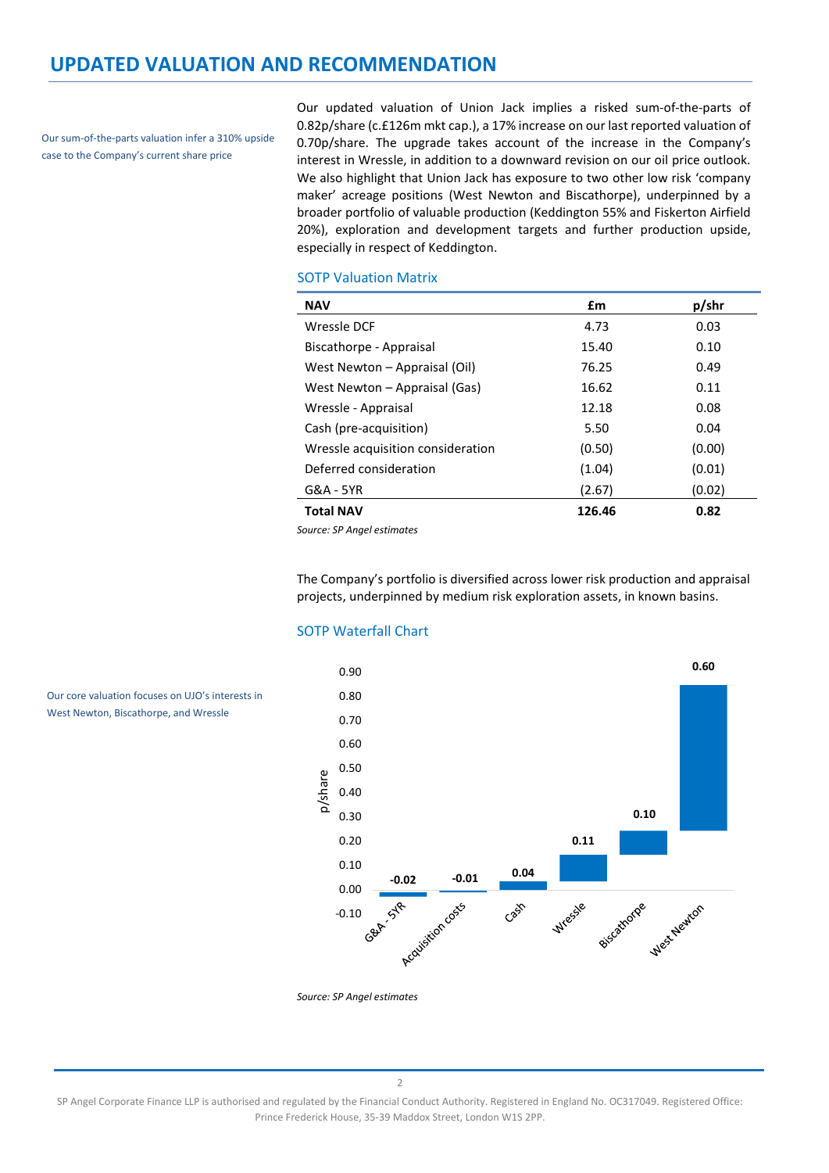## **UPDATED VALUATION AND RECOMMENDATION**

Our sum-of-the-parts valuation infer a 310% upside case to the Company's current share price

Our core valuation focuses on UJO's interests in West Newton, Biscathorpe, and Wressle

Our updated valuation of Union Jack implies a risked sum-of-the-parts of 0.82p/share (c.£126m mkt cap.), a 17% increase on our last reported valuation of 0.70p/share. The upgrade takes account of the increase in the Company's interest in Wressle, in addition to a downward revision on our oil price outlook. We also highlight that Union Jack has exposure to two other low risk 'company maker' acreage positions (West Newton and Biscathorpe), underpinned by a broader portfolio of valuable production (Keddington 55% and Fiskerton Airfield 20%), exploration and development targets and further production upside, especially in respect of Keddington.

#### SOTP Valuation Matrix

| <b>NAV</b>                        | £m     | p/shr  |
|-----------------------------------|--------|--------|
| Wressle DCF                       | 4.73   | 0.03   |
| Biscathorpe - Appraisal           | 15.40  | 0.10   |
| West Newton - Appraisal (Oil)     | 76.25  | 0.49   |
| West Newton – Appraisal (Gas)     | 16.62  | 0.11   |
| Wressle - Appraisal               | 12.18  | 0.08   |
| Cash (pre-acquisition)            | 5.50   | 0.04   |
| Wressle acquisition consideration | (0.50) | (0.00) |
| Deferred consideration            | (1.04) | (0.01) |
| G&A - 5YR                         | (2.67) | (0.02) |
| <b>Total NAV</b>                  | 126.46 | 0.82   |

*Source: SP Angel estimates*

The Company's portfolio is diversified across lower risk production and appraisal projects, underpinned by medium risk exploration assets, in known basins.

### SOTP Waterfall Chart



*Source: SP Angel estimates*

2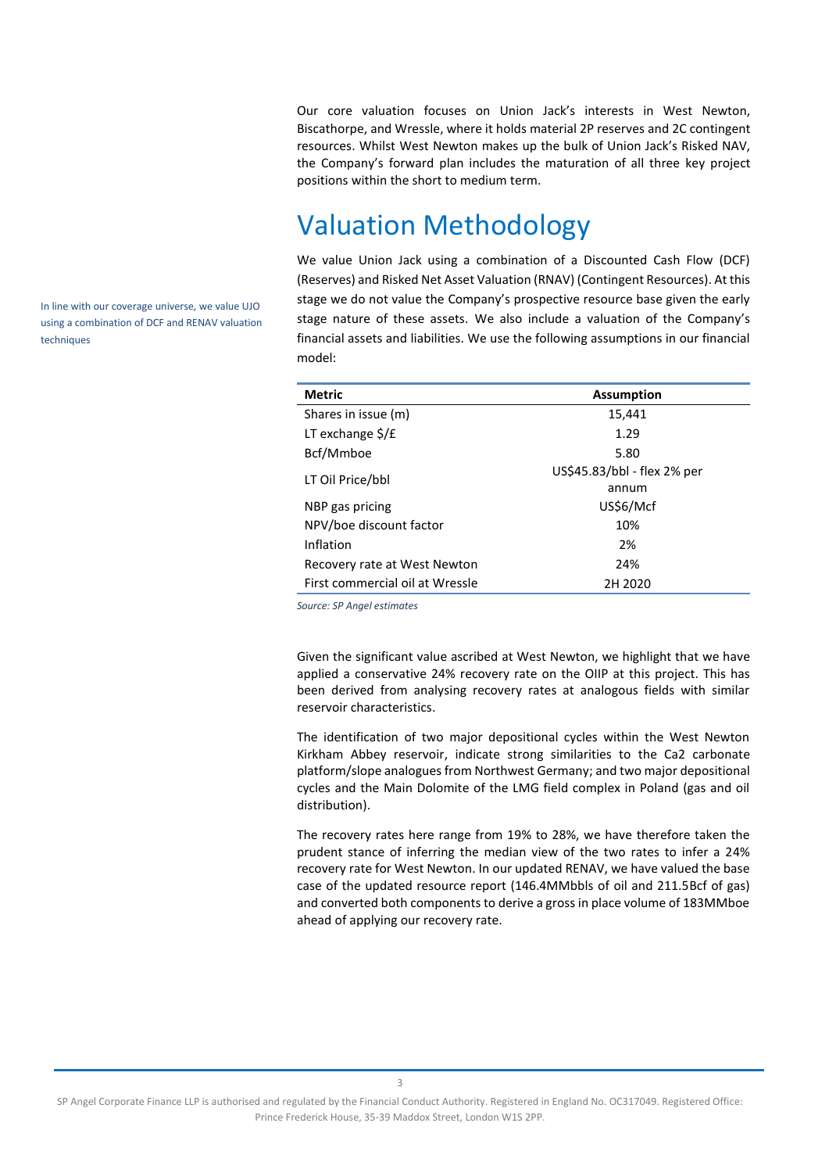Our core valuation focuses on Union Jack's interests in West Newton, Biscathorpe, and Wressle, where it holds material 2P reserves and 2C contingent resources. Whilst West Newton makes up the bulk of Union Jack's Risked NAV, the Company's forward plan includes the maturation of all three key project positions within the short to medium term.

# Valuation Methodology

We value Union Jack using a combination of a Discounted Cash Flow (DCF) (Reserves) and Risked Net Asset Valuation (RNAV) (Contingent Resources). At this stage we do not value the Company's prospective resource base given the early stage nature of these assets. We also include a valuation of the Company's financial assets and liabilities. We use the following assumptions in our financial model:

| <b>Metric</b>                   | <b>Assumption</b>           |  |  |  |  |
|---------------------------------|-----------------------------|--|--|--|--|
| Shares in issue (m)             | 15,441                      |  |  |  |  |
| LT exchange $\frac{2}{5}$ / £   | 1.29                        |  |  |  |  |
| Bcf/Mmboe                       | 5.80                        |  |  |  |  |
| LT Oil Price/bbl                | US\$45.83/bbl - flex 2% per |  |  |  |  |
|                                 | annum                       |  |  |  |  |
| NBP gas pricing                 | US\$6/Mcf                   |  |  |  |  |
| NPV/boe discount factor         | 10%                         |  |  |  |  |
| Inflation                       | 2%                          |  |  |  |  |
| Recovery rate at West Newton    | 24%                         |  |  |  |  |
| First commercial oil at Wressle | 2H 2020                     |  |  |  |  |

*Source: SP Angel estimates*

Given the significant value ascribed at West Newton, we highlight that we have applied a conservative 24% recovery rate on the OIIP at this project. This has been derived from analysing recovery rates at analogous fields with similar reservoir characteristics.

The identification of two major depositional cycles within the West Newton Kirkham Abbey reservoir, indicate strong similarities to the Ca2 carbonate platform/slope analogues from Northwest Germany; and two major depositional cycles and the Main Dolomite of the LMG field complex in Poland (gas and oil distribution).

The recovery rates here range from 19% to 28%, we have therefore taken the prudent stance of inferring the median view of the two rates to infer a 24% recovery rate for West Newton. In our updated RENAV, we have valued the base case of the updated resource report (146.4MMbbls of oil and 211.5Bcf of gas) and converted both components to derive a gross in place volume of 183MMboe ahead of applying our recovery rate.

In line with our coverage universe, we value UJO using a combination of DCF and RENAV valuation techniques

SP Angel Corporate Finance LLP is authorised and regulated by the Financial Conduct Authority. Registered in England No. OC317049. Registered Office: Prince Frederick House, 35-39 Maddox Street, London W1S 2PP.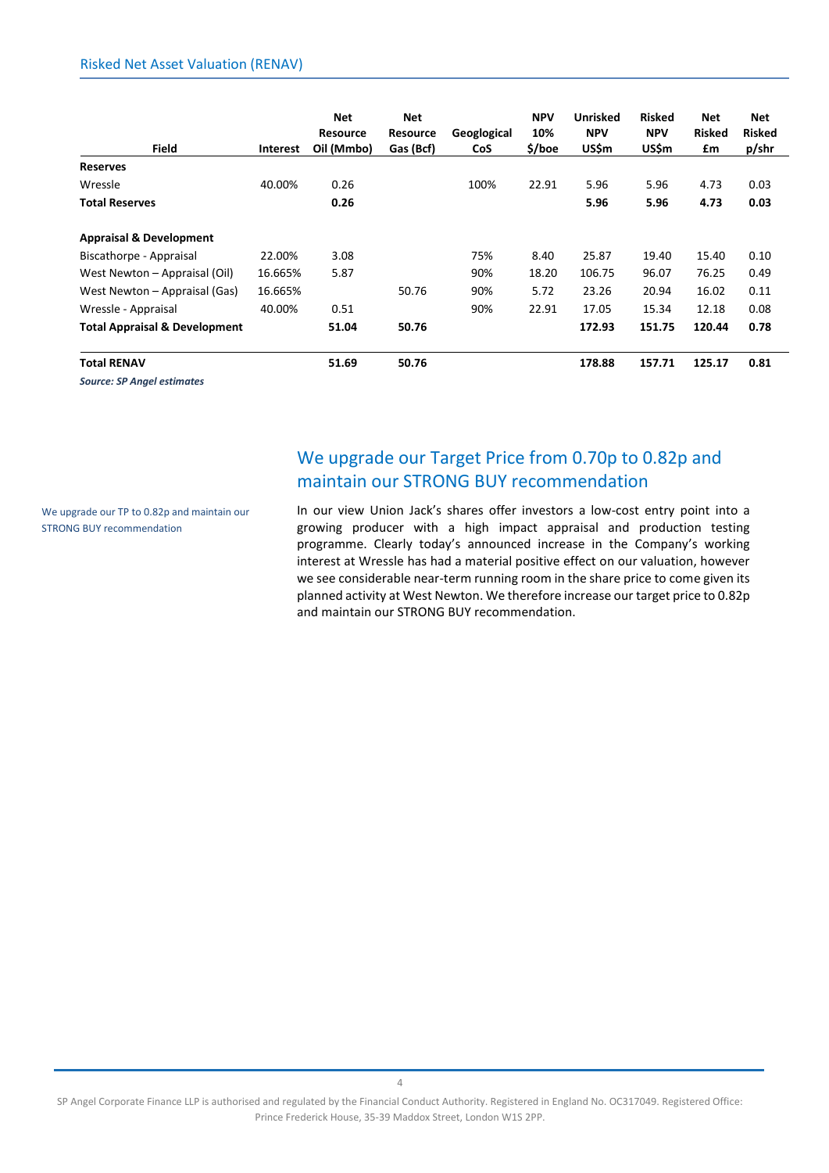| <b>Field</b>                             | <b>Interest</b> | <b>Net</b><br><b>Resource</b><br>Oil (Mmbo) | Net<br><b>Resource</b><br>Gas (Bcf) | Geoglogical<br><b>CoS</b> | <b>NPV</b><br>10%<br>\$/boe | <b>Unrisked</b><br><b>NPV</b><br><b>US\$m</b> | <b>Risked</b><br><b>NPV</b><br>US\$m | Net<br><b>Risked</b><br>£m | Net<br><b>Risked</b><br>p/shr |
|------------------------------------------|-----------------|---------------------------------------------|-------------------------------------|---------------------------|-----------------------------|-----------------------------------------------|--------------------------------------|----------------------------|-------------------------------|
| <b>Reserves</b>                          |                 |                                             |                                     |                           |                             |                                               |                                      |                            |                               |
| Wressle                                  | 40.00%          | 0.26                                        |                                     | 100%                      | 22.91                       | 5.96                                          | 5.96                                 | 4.73                       | 0.03                          |
| <b>Total Reserves</b>                    |                 | 0.26                                        |                                     |                           |                             | 5.96                                          | 5.96                                 | 4.73                       | 0.03                          |
| <b>Appraisal &amp; Development</b>       |                 |                                             |                                     |                           |                             |                                               |                                      |                            |                               |
| Biscathorpe - Appraisal                  | 22.00%          | 3.08                                        |                                     | 75%                       | 8.40                        | 25.87                                         | 19.40                                | 15.40                      | 0.10                          |
| West Newton - Appraisal (Oil)            | 16.665%         | 5.87                                        |                                     | 90%                       | 18.20                       | 106.75                                        | 96.07                                | 76.25                      | 0.49                          |
| West Newton – Appraisal (Gas)            | 16.665%         |                                             | 50.76                               | 90%                       | 5.72                        | 23.26                                         | 20.94                                | 16.02                      | 0.11                          |
| Wressle - Appraisal                      | 40.00%          | 0.51                                        |                                     | 90%                       | 22.91                       | 17.05                                         | 15.34                                | 12.18                      | 0.08                          |
| <b>Total Appraisal &amp; Development</b> |                 | 51.04                                       | 50.76                               |                           |                             | 172.93                                        | 151.75                               | 120.44                     | 0.78                          |
| <b>Total RENAV</b>                       |                 | 51.69                                       | 50.76                               |                           |                             | 178.88                                        | 157.71                               | 125.17                     | 0.81                          |

*Source: SP Angel estimates*

# We upgrade our Target Price from 0.70p to 0.82p and maintain our STRONG BUY recommendation

We upgrade our TP to 0.82p and maintain our STRONG BUY recommendation

In our view Union Jack's shares offer investors a low-cost entry point into a growing producer with a high impact appraisal and production testing programme. Clearly today's announced increase in the Company's working interest at Wressle has had a material positive effect on our valuation, however we see considerable near-term running room in the share price to come given its planned activity at West Newton. We therefore increase our target price to 0.82p and maintain our STRONG BUY recommendation.